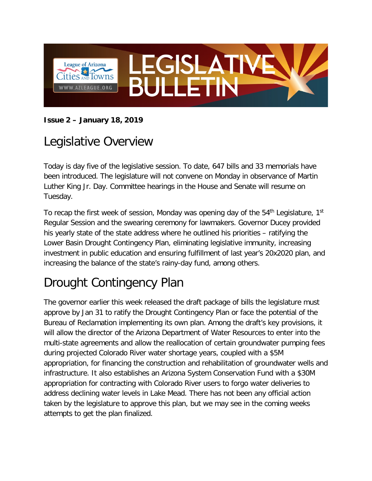

#### **Issue 2 – January 18, 2019**

#### Legislative Overview

Today is day five of the legislative session. To date, 647 bills and 33 memorials have been introduced. The legislature will not convene on Monday in observance of Martin Luther King Jr. Day. Committee hearings in the House and Senate will resume on Tuesday.

To recap the first week of session, Monday was opening day of the  $54<sup>th</sup>$  Legislature, 1st Regular Session and the swearing ceremony for lawmakers. Governor Ducey provided his yearly state of the state address where he outlined his priorities – ratifying the Lower Basin Drought Contingency Plan, eliminating legislative immunity, increasing investment in public education and ensuring fulfillment of last year's 20x2020 plan, and increasing the balance of the state's rainy-day fund, among others.

# Drought Contingency Plan

The governor earlier this week released the draft package of bills the legislature must approve by Jan 31 to ratify the Drought Contingency Plan or face the potential of the Bureau of Reclamation implementing its own plan. Among the draft's key provisions, it will allow the director of the Arizona Department of Water Resources to enter into the multi-state agreements and allow the reallocation of certain groundwater pumping fees during projected Colorado River water shortage years, coupled with a \$5M appropriation, for financing the construction and rehabilitation of groundwater wells and infrastructure. It also establishes an Arizona System Conservation Fund with a \$30M appropriation for contracting with Colorado River users to forgo water deliveries to address declining water levels in Lake Mead. There has not been any official action taken by the legislature to approve this plan, but we may see in the coming weeks attempts to get the plan finalized.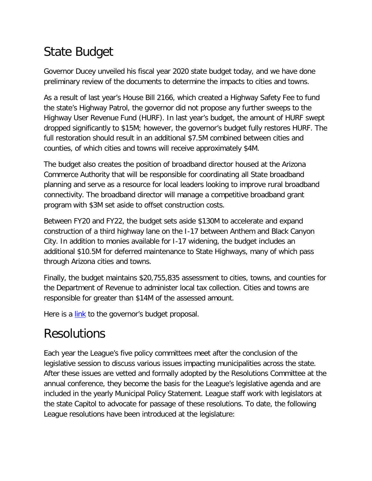# State Budget

Governor Ducey unveiled his fiscal year 2020 state budget today, and we have done preliminary review of the documents to determine the impacts to cities and towns.

As a result of last year's House Bill 2166, which created a Highway Safety Fee to fund the state's Highway Patrol, the governor did not propose any further sweeps to the Highway User Revenue Fund (HURF). In last year's budget, the amount of HURF swept dropped significantly to \$15M; however, the governor's budget fully restores HURF. The full restoration should result in an additional \$7.5M combined between cities and counties, of which cities and towns will receive approximately \$4M.

The budget also creates the position of broadband director housed at the Arizona Commerce Authority that will be responsible for coordinating all State broadband planning and serve as a resource for local leaders looking to improve rural broadband connectivity. The broadband director will manage a competitive broadband grant program with \$3M set aside to offset construction costs.

Between FY20 and FY22, the budget sets aside \$130M to accelerate and expand construction of a third highway lane on the I-17 between Anthem and Black Canyon City. In addition to monies available for I-17 widening, the budget includes an additional \$10.5M for deferred maintenance to State Highways, many of which pass through Arizona cities and towns.

Finally, the budget maintains \$20,755,835 assessment to cities, towns, and counties for the Department of Revenue to administer local tax collection. Cities and towns are responsible for greater than \$14M of the assessed amount.

Here is a [link](https://azgovernor.gov/sites/default/files/governor/documents/fy2020summarybook.pdf) to the governor's budget proposal.

#### Resolutions

Each year the League's five policy committees meet after the conclusion of the legislative session to discuss various issues impacting municipalities across the state. After these issues are vetted and formally adopted by the Resolutions Committee at the annual conference, they become the basis for the League's legislative agenda and are included in the yearly Municipal Policy Statement. League staff work with legislators at the state Capitol to advocate for passage of these resolutions. To date, the following League resolutions have been introduced at the legislature: